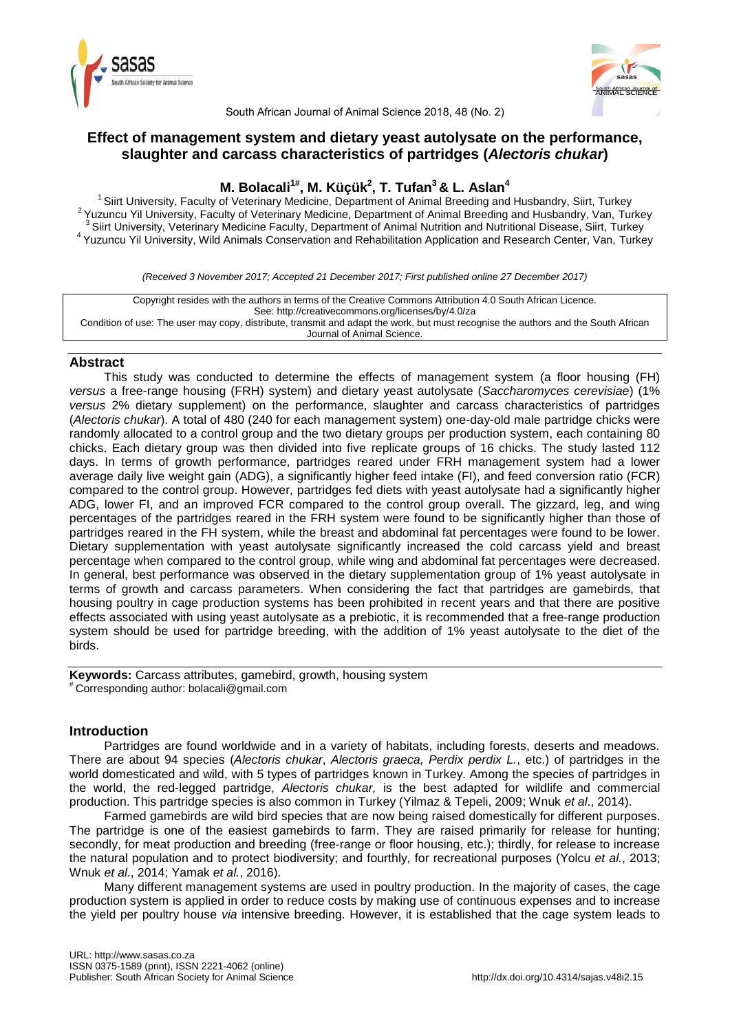



South African Journal of Animal Science 2018, 48 (No. 2)

# **Effect of management system and dietary yeast autolysate on the performance, slaughter and carcass characteristics of partridges (***Alectoris chukar***)**

# **M. Bolacali1# , M. Küçük<sup>2</sup> , T. Tufan<sup>3</sup> & L. Aslan<sup>4</sup>**

<sup>1</sup> Siirt University, Faculty of Veterinary Medicine, Department of Animal Breeding and Husbandry, Siirt, Turkey <sup>2</sup> Yuzuncu Yil University, Faculty of Veterinary Medicine, Department of Animal Breeding and Husbandry, Van, Turkey  $^3$  Siirt University, Veterinary Medicine Faculty, Department of Animal Nutrition and Nutritional Disease, Siirt, Turkey <sup>4</sup> Yuzuncu Yil University, Wild Animals Conservation and Rehabilitation Application and Research Center, Van, Turkey

*(Received 3 November 2017; Accepted 21 December 2017; First published online 27 December 2017)*

Copyright resides with the authors in terms of the Creative Commons Attribution 4.0 South African Licence. See: http://creativecommons.org/licenses/by/4.0/za Condition of use: The user may copy, distribute, transmit and adapt the work, but must recognise the authors and the South African Journal of Animal Science.

# **Abstract**

This study was conducted to determine the effects of management system (a floor housing (FH) *versus* a free-range housing (FRH) system) and dietary yeast autolysate (*Saccharomyces cerevisiae*) (1% *versus* 2% dietary supplement) on the performance, slaughter and carcass characteristics of partridges (*Alectoris chukar*). A total of 480 (240 for each management system) one-day-old male partridge chicks were randomly allocated to a control group and the two dietary groups per production system, each containing 80 chicks. Each dietary group was then divided into five replicate groups of 16 chicks. The study lasted 112 days. In terms of growth performance, partridges reared under FRH management system had a lower average daily live weight gain (ADG), a significantly higher feed intake (FI), and feed conversion ratio (FCR) compared to the control group. However, partridges fed diets with yeast autolysate had a significantly higher ADG, lower FI, and an improved FCR compared to the control group overall. The gizzard, leg, and wing percentages of the partridges reared in the FRH system were found to be significantly higher than those of partridges reared in the FH system, while the breast and abdominal fat percentages were found to be lower. Dietary supplementation with yeast autolysate significantly increased the cold carcass yield and breast percentage when compared to the control group, while wing and abdominal fat percentages were decreased. In general, best performance was observed in the dietary supplementation group of 1% yeast autolysate in terms of growth and carcass parameters. When considering the fact that partridges are gamebirds, that housing poultry in cage production systems has been prohibited in recent years and that there are positive effects associated with using yeast autolysate as a prebiotic, it is recommended that a free-range production system should be used for partridge breeding, with the addition of 1% yeast autolysate to the diet of the birds.

**Keywords:** Carcass attributes, gamebird, growth, housing system # Corresponding author: bolacali@gmail.com

# **Introduction**

Partridges are found worldwide and in a variety of habitats, including forests, deserts and meadows. There are about 94 species (*Alectoris chukar*, *Alectoris graeca, Perdix perdix L.*, etc.) of partridges in the world domesticated and wild, with 5 types of partridges known in Turkey. Among the species of partridges in the world, the red-legged partridge, *Alectoris chukar,* is the best adapted for wildlife and commercial production. This partridge species is also common in Turkey (Yilmaz & Tepeli, 2009; Wnuk *et al*., 2014).

Farmed gamebirds are wild bird species that are now being raised domestically for different purposes. The partridge is one of the easiest gamebirds to farm. They are raised primarily for release for hunting; secondly, for meat production and breeding (free-range or floor housing, etc.); thirdly, for release to increase the natural population and to protect biodiversity; and fourthly, for recreational purposes (Yolcu *et al.*, 2013; Wnuk *et al.*, 2014; Yamak *et al.*, 2016).

Many different management systems are used in poultry production. In the majority of cases, the cage production system is applied in order to reduce costs by making use of continuous expenses and to increase the yield per poultry house *via* intensive breeding. However, it is established that the cage system leads to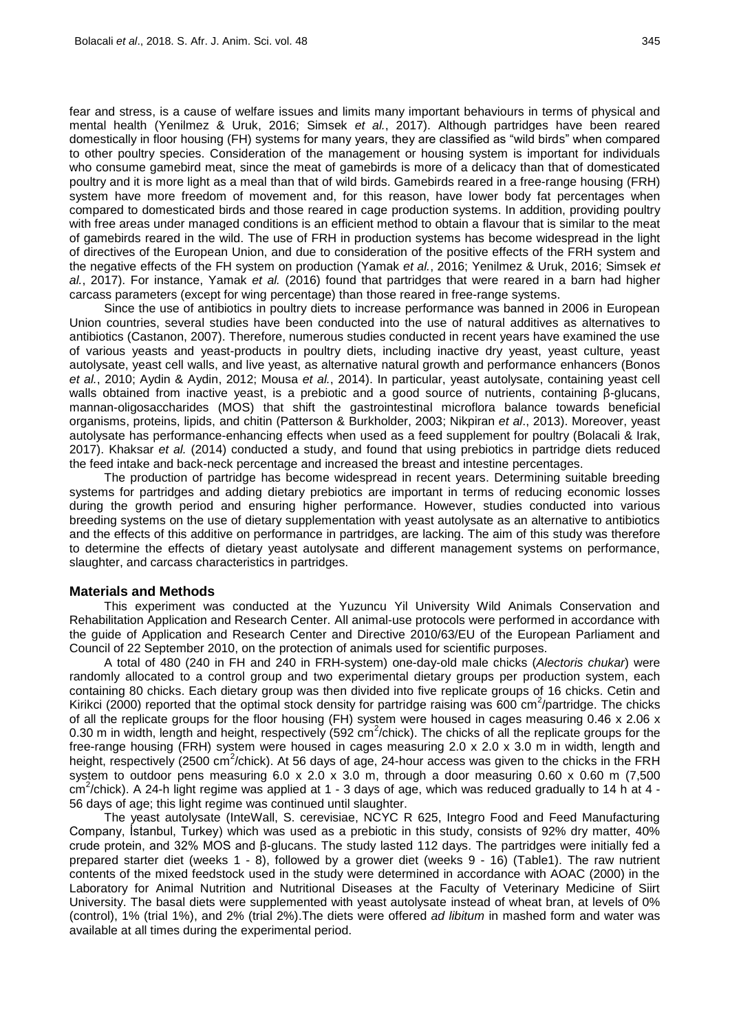fear and stress, is a cause of welfare issues and limits many important behaviours in terms of physical and mental health (Yenilmez & Uruk, 2016; Simsek *et al.*, 2017). Although partridges have been reared domestically in floor housing (FH) systems for many years, they are classified as "wild birds" when compared to other poultry species. Consideration of the management or housing system is important for individuals who consume gamebird meat, since the meat of gamebirds is more of a delicacy than that of domesticated poultry and it is more light as a meal than that of wild birds. Gamebirds reared in a free-range housing (FRH) system have more freedom of movement and, for this reason, have lower body fat percentages when compared to domesticated birds and those reared in cage production systems. In addition, providing poultry with free areas under managed conditions is an efficient method to obtain a flavour that is similar to the meat of gamebirds reared in the wild. The use of FRH in production systems has become widespread in the light of directives of the European Union, and due to consideration of the positive effects of the FRH system and the negative effects of the FH system on production (Yamak *et al.*, 2016; Yenilmez & Uruk, 2016; Simsek *et al.*, 2017). For instance, Yamak *et al.* (2016) found that partridges that were reared in a barn had higher carcass parameters (except for wing percentage) than those reared in free-range systems.

Since the use of antibiotics in poultry diets to increase performance was banned in 2006 in European Union countries, several studies have been conducted into the use of natural additives as alternatives to antibiotics (Castanon, 2007). Therefore, numerous studies conducted in recent years have examined the use of various yeasts and yeast-products in poultry diets, including inactive dry yeast, yeast culture, yeast autolysate, yeast cell walls, and live yeast, as alternative natural growth and performance enhancers (Bonos *et al.*, 2010; Aydin & Aydin, 2012; Mousa *et al.*, 2014). In particular, yeast autolysate, containing yeast cell walls obtained from inactive yeast, is a prebiotic and a good source of nutrients, containing β-glucans, mannan-oligosaccharides (MOS) that shift the gastrointestinal microflora balance towards beneficial organisms, proteins, lipids, and chitin (Patterson & Burkholder, 2003; Nikpiran *et al*., 2013). Moreover, yeast autolysate has performance-enhancing effects when used as a feed supplement for poultry (Bolacali & Irak, 2017). Khaksar *et al.* (2014) conducted a study, and found that using prebiotics in partridge diets reduced the feed intake and back-neck percentage and increased the breast and intestine percentages.

The production of partridge has become widespread in recent years. Determining suitable breeding systems for partridges and adding dietary prebiotics are important in terms of reducing economic losses during the growth period and ensuring higher performance. However, studies conducted into various breeding systems on the use of dietary supplementation with yeast autolysate as an alternative to antibiotics and the effects of this additive on performance in partridges, are lacking. The aim of this study was therefore to determine the effects of dietary yeast autolysate and different management systems on performance, slaughter, and carcass characteristics in partridges.

## **Materials and Methods**

This experiment was conducted at the Yuzuncu Yil University Wild Animals Conservation and Rehabilitation Application and Research Center. All animal-use protocols were performed in accordance with the guide of Application and Research Center and Directive 2010/63/EU of the European Parliament and Council of 22 September 2010, on the protection of animals used for scientific purposes.

A total of 480 (240 in FH and 240 in FRH-system) one-day-old male chicks (*Alectoris chukar*) were randomly allocated to a control group and two experimental dietary groups per production system, each containing 80 chicks. Each dietary group was then divided into five replicate groups of 16 chicks. Cetin and Kirikci (2000) reported that the optimal stock density for partridge raising was 600 cm<sup>2</sup>/partridge. The chicks of all the replicate groups for the floor housing (FH) system were housed in cages measuring 0.46 x 2.06 x 0.30 m in width, length and height, respectively (592 cm<sup>2</sup>/chick). The chicks of all the replicate groups for the free-range housing (FRH) system were housed in cages measuring 2.0 x 2.0 x 3.0 m in width, length and height, respectively (2500 cm<sup>2</sup>/chick). At 56 days of age, 24-hour access was given to the chicks in the FRH system to outdoor pens measuring  $6.0 \times 2.0 \times 3.0$  m, through a door measuring  $0.60 \times 0.60$  m (7,500) cm<sup>2</sup>/chick). A 24-h light regime was applied at 1 - 3 days of age, which was reduced gradually to 14 h at 4 -56 days of age; this light regime was continued until slaughter.

The yeast autolysate (InteWall, S. cerevisiae, NCYC R 625, Integro Food and Feed Manufacturing Company, İstanbul, Turkey) which was used as a prebiotic in this study, consists of 92% dry matter, 40% crude protein, and 32% MOS and β-glucans. The study lasted 112 days. The partridges were initially fed a prepared starter diet (weeks 1 - 8), followed by a grower diet (weeks 9 - 16) (Table1). The raw nutrient contents of the mixed feedstock used in the study were determined in accordance with AOAC (2000) in the Laboratory for Animal Nutrition and Nutritional Diseases at the Faculty of Veterinary Medicine of Siirt University. The basal diets were supplemented with yeast autolysate instead of wheat bran, at levels of 0% (control), 1% (trial 1%), and 2% (trial 2%).The diets were offered *ad libitum* in mashed form and water was available at all times during the experimental period.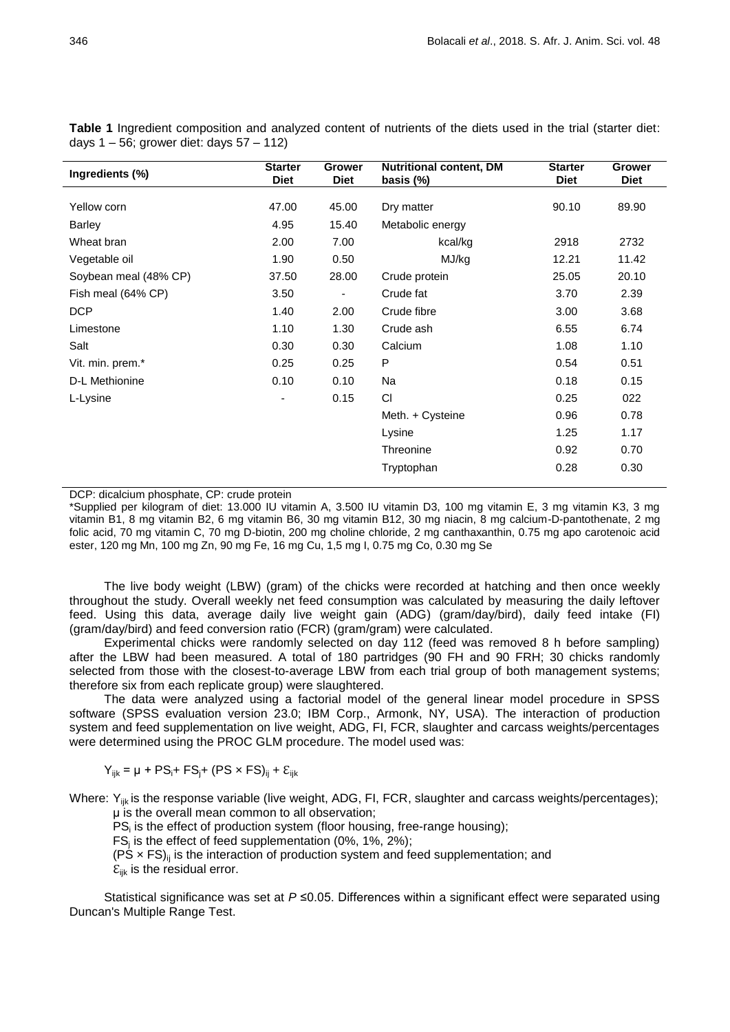| <b>Starter</b><br><b>Diet</b> | <b>Grower</b><br><b>Diet</b> | <b>Nutritional content, DM</b><br>basis $(\%)$ | <b>Starter</b><br><b>Diet</b> | <b>Grower</b><br><b>Diet</b> |
|-------------------------------|------------------------------|------------------------------------------------|-------------------------------|------------------------------|
| 47.00                         | 45.00                        | Dry matter                                     | 90.10                         | 89.90                        |
| 4.95                          | 15.40                        | Metabolic energy                               |                               |                              |
| 2.00                          | 7.00                         | kcal/kg                                        | 2918                          | 2732                         |
| 1.90                          | 0.50                         | MJ/kg                                          | 12.21                         | 11.42                        |
| 37.50                         | 28.00                        | Crude protein                                  | 25.05                         | 20.10                        |
| 3.50                          | $\overline{\phantom{a}}$     | Crude fat                                      | 3.70                          | 2.39                         |
| 1.40                          | 2.00                         | Crude fibre                                    | 3.00                          | 3.68                         |
| 1.10                          | 1.30                         | Crude ash                                      | 6.55                          | 6.74                         |
| 0.30                          | 0.30                         | Calcium                                        | 1.08                          | 1.10                         |
| 0.25                          | 0.25                         | P                                              | 0.54                          | 0.51                         |
| 0.10                          | 0.10                         | Na                                             | 0.18                          | 0.15                         |
| -                             | 0.15                         | <b>CI</b>                                      | 0.25                          | 022                          |
|                               |                              | Meth. + Cysteine                               | 0.96                          | 0.78                         |
|                               |                              | Lysine                                         | 1.25                          | 1.17                         |
|                               |                              | Threonine                                      | 0.92                          | 0.70                         |
|                               |                              | Tryptophan                                     | 0.28                          | 0.30                         |
|                               |                              |                                                |                               |                              |

**Table 1** Ingredient composition and analyzed content of nutrients of the diets used in the trial (starter diet: days 1 – 56; grower diet: days 57 – 112)

DCP: dicalcium phosphate, CP: crude protein

\*Supplied per kilogram of diet: 13.000 IU vitamin A, 3.500 IU vitamin D3, 100 mg vitamin E, 3 mg vitamin K3, 3 mg vitamin B1, 8 mg vitamin B2, 6 mg vitamin B6, 30 mg vitamin B12, 30 mg niacin, 8 mg calcium-D-pantothenate, 2 mg folic acid, 70 mg vitamin C, 70 mg D-biotin, 200 mg choline chloride, 2 mg canthaxanthin, 0.75 mg apo carotenoic acid ester, 120 mg Mn, 100 mg Zn, 90 mg Fe, 16 mg Cu, 1,5 mg I, 0.75 mg Co, 0.30 mg Se

The live body weight (LBW) (gram) of the chicks were recorded at hatching and then once weekly throughout the study. Overall weekly net feed consumption was calculated by measuring the daily leftover feed. Using this data, average daily live weight gain (ADG) (gram/day/bird), daily feed intake (FI) (gram/day/bird) and feed conversion ratio (FCR) (gram/gram) were calculated.

Experimental chicks were randomly selected on day 112 (feed was removed 8 h before sampling) after the LBW had been measured. A total of 180 partridges (90 FH and 90 FRH; 30 chicks randomly selected from those with the closest-to-average LBW from each trial group of both management systems; therefore six from each replicate group) were slaughtered.

The data were analyzed using a factorial model of the general linear model procedure in SPSS software (SPSS evaluation version 23.0; IBM Corp., Armonk, NY, USA). The interaction of production system and feed supplementation on live weight, ADG, FI, FCR, slaughter and carcass weights/percentages were determined using the PROC GLM procedure. The model used was:

 $Y_{iik} = \mu + PS_i + FS_i + (PS \times FS)_{ii} + E_{iik}$ 

Where: Y<sub>iik</sub> is the response variable (live weight, ADG, FI, FCR, slaughter and carcass weights/percentages); μ is the overall mean common to all observation;

PS<sub>i</sub> is the effect of production system (floor housing, free-range housing);

 $FS<sub>j</sub>$  is the effect of feed supplementation (0%, 1%, 2%);

 $(PS \times FS)_{ii}$  is the interaction of production system and feed supplementation; and

 $\mathcal{E}_{ijk}$  is the residual error.

Statistical significance was set at *P* ≤0.05. Differences within a significant effect were separated using Duncan's Multiple Range Test.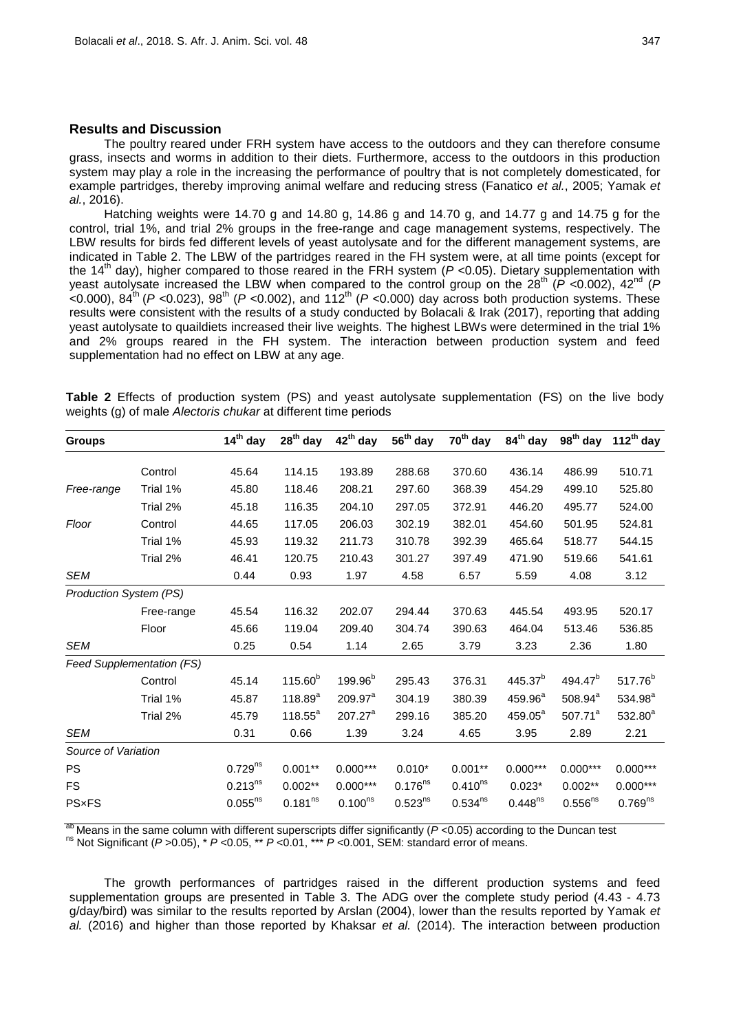## **Results and Discussion**

The poultry reared under FRH system have access to the outdoors and they can therefore consume grass, insects and worms in addition to their diets. Furthermore, access to the outdoors in this production system may play a role in the increasing the performance of poultry that is not completely domesticated, for example partridges, thereby improving animal welfare and reducing stress (Fanatico *et al.*, 2005; Yamak *et al.*, 2016).

Hatching weights were 14.70 g and 14.80 g, 14.86 g and 14.70 g, and 14.77 g and 14.75 g for the control, trial 1%, and trial 2% groups in the free-range and cage management systems, respectively. The LBW results for birds fed different levels of yeast autolysate and for the different management systems, are indicated in Table 2. The LBW of the partridges reared in the FH system were, at all time points (except for the 14<sup>th</sup> day), higher compared to those reared in the FRH system ( $P$  <0.05). Dietary supplementation with yeast autolysate increased the LBW when compared to the control group on the 28<sup>th</sup> (*P* <0.002), 42<sup>nd</sup> (*P*  $\leq$  0.000), 84<sup>th</sup> (*P* <0.023), 98<sup>th</sup> (*P* <0.002), and 112<sup>th</sup> (*P* <0.000) day across both production systems. These results were consistent with the results of a study conducted by Bolacali & Irak (2017), reporting that adding yeast autolysate to quaildiets increased their live weights. The highest LBWs were determined in the trial 1% and 2% groups reared in the FH system. The interaction between production system and feed supplementation had no effect on LBW at any age.

|  |                                                                |  |  | Table 2 Effects of production system (PS) and yeast autolysate supplementation (FS) on the live body |  |  |  |
|--|----------------------------------------------------------------|--|--|------------------------------------------------------------------------------------------------------|--|--|--|
|  | weights (g) of male Alectoris chukar at different time periods |  |  |                                                                                                      |  |  |  |

| <b>Groups</b>          |                                  | $14th$ day   | $28th$ day          | 42 <sup>th</sup> day | $56th$ day   | 70 <sup>th</sup> day | 84 <sup>th</sup> day | 98 <sup>th</sup> day | $112^{th}$ day      |
|------------------------|----------------------------------|--------------|---------------------|----------------------|--------------|----------------------|----------------------|----------------------|---------------------|
|                        |                                  |              |                     |                      |              |                      |                      |                      |                     |
|                        | Control                          | 45.64        | 114.15              | 193.89               | 288.68       | 370.60               | 436.14               | 486.99               | 510.71              |
| Free-range             | Trial 1%                         | 45.80        | 118.46              | 208.21               | 297.60       | 368.39               | 454.29               | 499.10               | 525.80              |
|                        | Trial 2%                         | 45.18        | 116.35              | 204.10               | 297.05       | 372.91               | 446.20               | 495.77               | 524.00              |
| Floor                  | Control                          | 44.65        | 117.05              | 206.03               | 302.19       | 382.01               | 454.60               | 501.95               | 524.81              |
|                        | Trial 1%                         | 45.93        | 119.32              | 211.73               | 310.78       | 392.39               | 465.64               | 518.77               | 544.15              |
|                        | Trial 2%                         | 46.41        | 120.75              | 210.43               | 301.27       | 397.49               | 471.90               | 519.66               | 541.61              |
| <b>SEM</b>             |                                  | 0.44         | 0.93                | 1.97                 | 4.58         | 6.57                 | 5.59                 | 4.08                 | 3.12                |
| Production System (PS) |                                  |              |                     |                      |              |                      |                      |                      |                     |
|                        | Free-range                       | 45.54        | 116.32              | 202.07               | 294.44       | 370.63               | 445.54               | 493.95               | 520.17              |
|                        | Floor                            | 45.66        | 119.04              | 209.40               | 304.74       | 390.63               | 464.04               | 513.46               | 536.85              |
| <b>SEM</b>             |                                  | 0.25         | 0.54                | 1.14                 | 2.65         | 3.79                 | 3.23                 | 2.36                 | 1.80                |
|                        | <b>Feed Supplementation (FS)</b> |              |                     |                      |              |                      |                      |                      |                     |
|                        | Control                          | 45.14        | $115.60^{b}$        | 199.96 <sup>b</sup>  | 295.43       | 376.31               | 445.37 <sup>b</sup>  | 494.47 <sup>b</sup>  | 517.76 <sup>b</sup> |
|                        | Trial 1%                         | 45.87        | $118.89^{a}$        | $209.97^a$           | 304.19       | 380.39               | 459.96 <sup>a</sup>  | $508.94^{a}$         | 534.98 <sup>a</sup> |
|                        | Trial 2%                         | 45.79        | $118.55^a$          | $207.27^a$           | 299.16       | 385.20               | $459.05^a$           | 507.71 <sup>a</sup>  | 532.80 <sup>a</sup> |
| <b>SEM</b>             |                                  | 0.31         | 0.66                | 1.39                 | 3.24         | 4.65                 | 3.95                 | 2.89                 | 2.21                |
| Source of Variation    |                                  |              |                     |                      |              |                      |                      |                      |                     |
| <b>PS</b>              |                                  | $0.729^{ns}$ | $0.001**$           | $0.000***$           | $0.010*$     | $0.001**$            | $0.000***$           | $0.000***$           | $0.000***$          |
| FS.                    |                                  | $0.213^{ns}$ | $0.002**$           | $0.000***$           | $0.176^{ns}$ | $0.410^{ns}$         | $0.023*$             | $0.002**$            | $0.000***$          |
| <b>PSxFS</b>           |                                  | $0.055^{ns}$ | 0.181 <sup>ns</sup> | $0.100^{ns}$         | $0.523^{ns}$ | $0.534^{ns}$         | $0.448^{ns}$         | $0.556^{ns}$         | $0.769^{ns}$        |

ab Means in the same column with different superscripts differ significantly (*P* <0.05) according to the Duncan test ns Not Significant (*P* >0.05), \* *P* <0.05, \*\* *P* <0.01, \*\*\* *P* <0.001, SEM: standard error of means.

The growth performances of partridges raised in the different production systems and feed supplementation groups are presented in Table 3. The ADG over the complete study period (4.43 - 4.73 g/day/bird) was similar to the results reported by Arslan (2004), lower than the results reported by Yamak *et al.* (2016) and higher than those reported by Khaksar *et al.* (2014). The interaction between production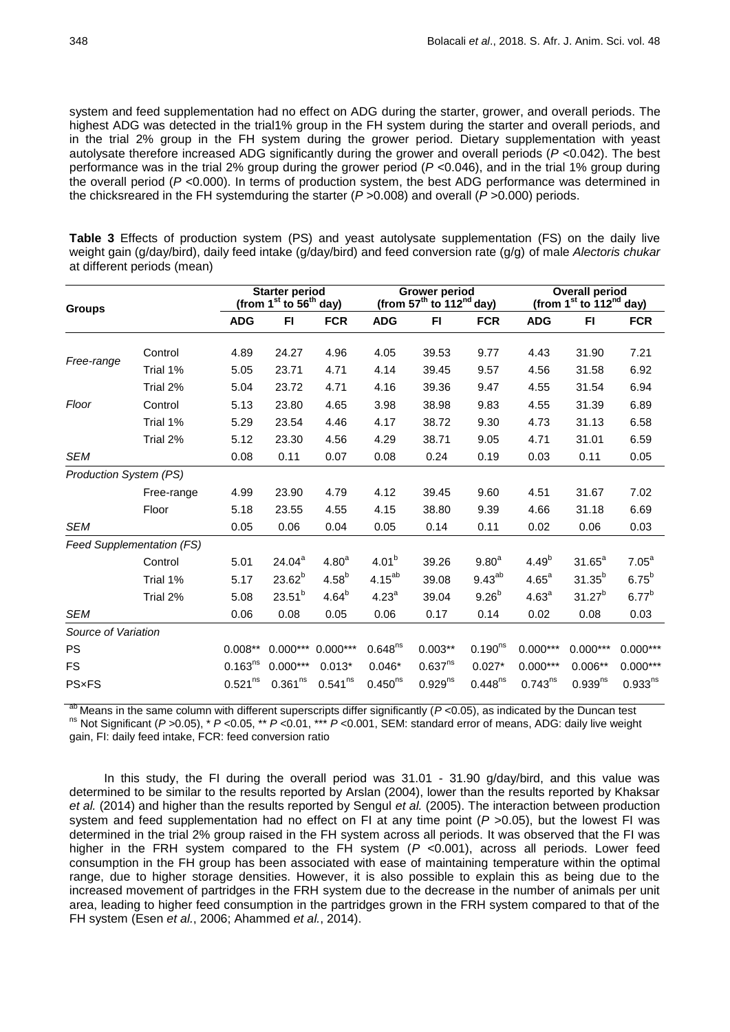system and feed supplementation had no effect on ADG during the starter, grower, and overall periods. The highest ADG was detected in the trial1% group in the FH system during the starter and overall periods, and in the trial 2% group in the FH system during the grower period. Dietary supplementation with yeast autolysate therefore increased ADG significantly during the grower and overall periods (*P* <0.042). The best performance was in the trial 2% group during the grower period (*P* <0.046), and in the trial 1% group during the overall period (*P* <0.000). In terms of production system, the best ADG performance was determined in the chicksreared in the FH systemduring the starter (*P* >0.008) and overall (*P* >0.000) periods.

**Table 3** Effects of production system (PS) and yeast autolysate supplementation (FS) on the daily live weight gain (g/day/bird), daily feed intake (g/day/bird) and feed conversion rate (g/g) of male *Alectoris chukar* at different periods (mean)

| <b>Groups</b>                 |                                  |                       | <b>Starter period</b><br>(from $1st$ to $56th$ day) |                   |                   | <b>Grower period</b><br>(from $57th$ to 112 <sup>nd</sup> day) |                   | <b>Overall period</b><br>(from $1st$ to $112nd$ day) |                     |                   |  |
|-------------------------------|----------------------------------|-----------------------|-----------------------------------------------------|-------------------|-------------------|----------------------------------------------------------------|-------------------|------------------------------------------------------|---------------------|-------------------|--|
|                               |                                  | <b>ADG</b>            | F1                                                  | <b>FCR</b>        | <b>ADG</b>        | FI.                                                            | <b>FCR</b>        | <b>ADG</b>                                           | FI                  | <b>FCR</b>        |  |
|                               | Control                          | 4.89                  | 24.27                                               | 4.96              | 4.05              | 39.53                                                          | 9.77              | 4.43                                                 | 31.90               | 7.21              |  |
| Free-range                    | Trial 1%                         | 5.05                  | 23.71                                               | 4.71              | 4.14              | 39.45                                                          | 9.57              | 4.56                                                 | 31.58               | 6.92              |  |
|                               | Trial 2%                         | 5.04                  | 23.72                                               | 4.71              | 4.16              | 39.36                                                          | 9.47              | 4.55                                                 | 31.54               | 6.94              |  |
| Floor                         | Control                          | 5.13                  | 23.80                                               | 4.65              | 3.98              | 38.98                                                          | 9.83              | 4.55                                                 | 31.39               | 6.89              |  |
|                               | Trial 1%                         | 5.29                  | 23.54                                               | 4.46              | 4.17              | 38.72                                                          | 9.30              | 4.73                                                 | 31.13               | 6.58              |  |
|                               | Trial 2%                         | 5.12                  | 23.30                                               | 4.56              | 4.29              | 38.71                                                          | 9.05              | 4.71                                                 | 31.01               | 6.59              |  |
| <b>SEM</b>                    |                                  | 0.08                  | 0.11                                                | 0.07              | 0.08              | 0.24                                                           | 0.19              | 0.03                                                 | 0.11                | 0.05              |  |
| <b>Production System (PS)</b> |                                  |                       |                                                     |                   |                   |                                                                |                   |                                                      |                     |                   |  |
|                               | Free-range                       | 4.99                  | 23.90                                               | 4.79              | 4.12              | 39.45                                                          | 9.60              | 4.51                                                 | 31.67               | 7.02              |  |
|                               | Floor                            | 5.18                  | 23.55                                               | 4.55              | 4.15              | 38.80                                                          | 9.39              | 4.66                                                 | 31.18               | 6.69              |  |
| <b>SEM</b>                    |                                  | 0.05                  | 0.06                                                | 0.04              | 0.05              | 0.14                                                           | 0.11              | 0.02                                                 | 0.06                | 0.03              |  |
|                               | <b>Feed Supplementation (FS)</b> |                       |                                                     |                   |                   |                                                                |                   |                                                      |                     |                   |  |
|                               | Control                          | 5.01                  | $24.04^a$                                           | 4.80 <sup>a</sup> | 4.01 <sup>b</sup> | 39.26                                                          | 9.80 <sup>a</sup> | $4.49^{b}$                                           | $31.65^a$           | 7.05 <sup>a</sup> |  |
|                               | Trial 1%                         | 5.17                  | $23.62^{b}$                                         | $4.58^{b}$        | $4.15^{ab}$       | 39.08                                                          | $9.43^{ab}$       | $4.65^a$                                             | $31.35^{b}$         | $6.75^{b}$        |  |
|                               | Trial 2%                         | 5.08                  | $23.51^{b}$                                         | $4.64^{b}$        | $4.23^{a}$        | 39.04                                                          | $9.26^{b}$        | 4.63 <sup>a</sup>                                    | $31.27^{b}$         | $6.77^{b}$        |  |
| <b>SEM</b>                    |                                  | 0.06                  | 0.08                                                | 0.05              | 0.06              | 0.17                                                           | 0.14              | 0.02                                                 | 0.08                | 0.03              |  |
| Source of Variation           |                                  |                       |                                                     |                   |                   |                                                                |                   |                                                      |                     |                   |  |
| PS                            |                                  | $0.008**$             | $0.000***$                                          | $0.000***$        | $0.648^{ns}$      | $0.003**$                                                      | $0.190^{ns}$      | $0.000***$                                           | $0.000***$          | $0.000***$        |  |
| <b>FS</b>                     |                                  | $0.163^{ns}$          | $0.000***$                                          | $0.013*$          | $0.046*$          | $0.637^{ns}$                                                   | $0.027*$          | $0.000***$                                           | $0.006**$           | $0.000***$        |  |
| <b>PSxFS</b>                  |                                  | $0.521$ <sup>ns</sup> | 0.361 <sup>ns</sup>                                 | $0.541^{ns}$      | $0.450^{ns}$      | 0.929 <sup>ns</sup>                                            | $0.448^{ns}$      | 0.743 <sup>ns</sup>                                  | 0.939 <sup>ns</sup> | $0.933^{ns}$      |  |

ab Means in the same column with different superscripts differ significantly ( $P$  <0.05), as indicated by the Duncan test ns Not Significant (*P* >0.05), \* *P* <0.05, \*\* *P* <0.01, \*\*\* *P* <0.001, SEM: standard error of means, ADG: daily live weight gain, FI: daily feed intake, FCR: feed conversion ratio

In this study, the FI during the overall period was 31.01 - 31.90 g/day/bird, and this value was determined to be similar to the results reported by Arslan (2004), lower than the results reported by Khaksar *et al.* (2014) and higher than the results reported by Sengul *et al.* (2005). The interaction between production system and feed supplementation had no effect on FI at any time point (*P* >0.05), but the lowest FI was determined in the trial 2% group raised in the FH system across all periods. It was observed that the FI was higher in the FRH system compared to the FH system (P <0.001), across all periods. Lower feed consumption in the FH group has been associated with ease of maintaining temperature within the optimal range, due to higher storage densities. However, it is also possible to explain this as being due to the increased movement of partridges in the FRH system due to the decrease in the number of animals per unit area, leading to higher feed consumption in the partridges grown in the FRH system compared to that of the FH system (Esen *et al.*, 2006; Ahammed *et al.*, 2014).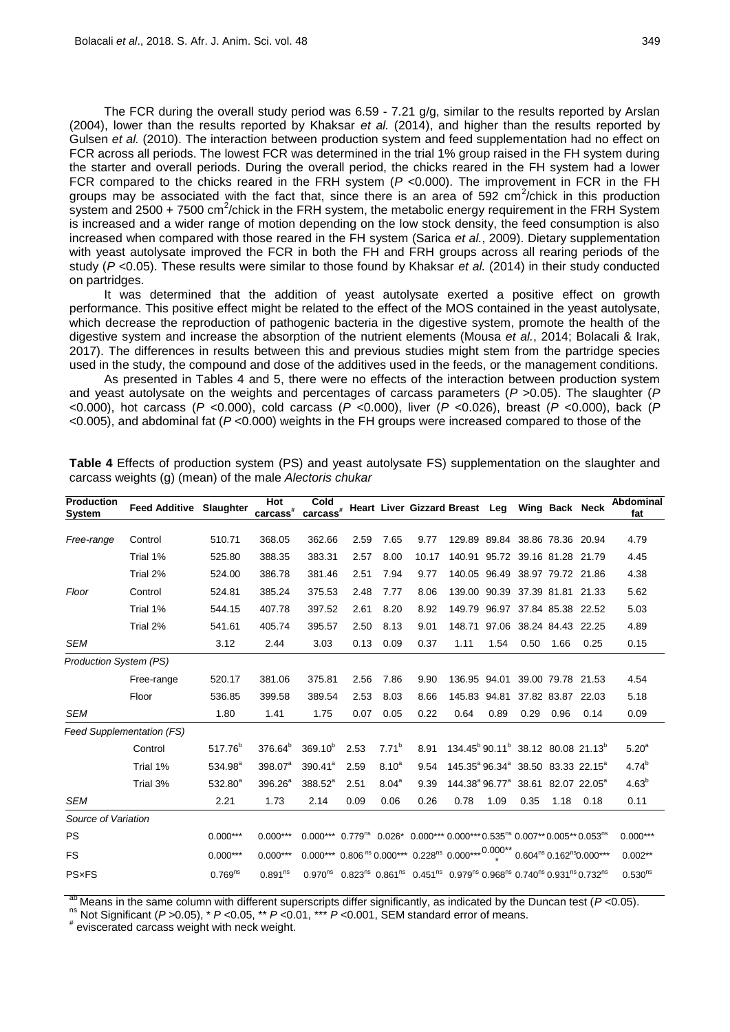The FCR during the overall study period was 6.59 - 7.21 g/g, similar to the results reported by Arslan (2004), lower than the results reported by Khaksar *et al.* (2014), and higher than the results reported by Gulsen *et al.* (2010). The interaction between production system and feed supplementation had no effect on FCR across all periods. The lowest FCR was determined in the trial 1% group raised in the FH system during the starter and overall periods. During the overall period, the chicks reared in the FH system had a lower FCR compared to the chicks reared in the FRH system (*P* <0.000). The improvement in FCR in the FH groups may be associated with the fact that, since there is an area of 592 cm<sup>2</sup>/chick in this production system and 2500 + 7500 cm<sup>2</sup>/chick in the FRH system, the metabolic energy requirement in the FRH System is increased and a wider range of motion depending on the low stock density, the feed consumption is also increased when compared with those reared in the FH system (Sarica *et al.*, 2009). Dietary supplementation with yeast autolysate improved the FCR in both the FH and FRH groups across all rearing periods of the study (*P* <0.05). These results were similar to those found by Khaksar *et al.* (2014) in their study conducted on partridges.

It was determined that the addition of yeast autolysate exerted a positive effect on growth performance. This positive effect might be related to the effect of the MOS contained in the yeast autolysate, which decrease the reproduction of pathogenic bacteria in the digestive system, promote the health of the digestive system and increase the absorption of the nutrient elements (Mousa *et al.*, 2014; Bolacali & Irak, 2017). The differences in results between this and previous studies might stem from the partridge species used in the study, the compound and dose of the additives used in the feeds, or the management conditions.

As presented in Tables 4 and 5, there were no effects of the interaction between production system and yeast autolysate on the weights and percentages of carcass parameters (*P* >0.05). The slaughter (*P* <0.000), hot carcass (*P* <0.000), cold carcass (*P* <0.000), liver (*P* <0.026), breast (*P* <0.000), back (*P* <0.005), and abdominal fat (*P* <0.000) weights in the FH groups were increased compared to those of the

| <b>Production</b><br><b>System</b> | <b>Feed Additive Slaughter</b>   |                     | Hot<br>$\mbox{carcass}^{\boldsymbol{\#}}$ | Cold<br>carcass# Heart Liver Gizzard Breast Leg                                                                                          |      |                |                                                                                                                                                                 |                                                                       |       |                         | <b>Wing Back Neck</b> |       | Abdominal<br>fat    |
|------------------------------------|----------------------------------|---------------------|-------------------------------------------|------------------------------------------------------------------------------------------------------------------------------------------|------|----------------|-----------------------------------------------------------------------------------------------------------------------------------------------------------------|-----------------------------------------------------------------------|-------|-------------------------|-----------------------|-------|---------------------|
|                                    |                                  |                     |                                           |                                                                                                                                          |      |                |                                                                                                                                                                 |                                                                       |       |                         |                       |       |                     |
| Free-range                         | Control                          | 510.71              | 368.05                                    | 362.66                                                                                                                                   | 2.59 | 7.65           | 9.77                                                                                                                                                            | 129.89 89.84 38.86 78.36 20.94                                        |       |                         |                       |       | 4.79                |
|                                    | Trial 1%                         | 525.80              | 388.35                                    | 383.31                                                                                                                                   | 2.57 | 8.00           | 10.17                                                                                                                                                           | 140.91 95.72 39.16 81.28 21.79                                        |       |                         |                       |       | 4.45                |
|                                    | Trial 2%                         | 524.00              | 386.78                                    | 381.46                                                                                                                                   | 2.51 | 7.94           | 9.77                                                                                                                                                            | 140.05 96.49 38.97 79.72 21.86                                        |       |                         |                       |       | 4.38                |
| Floor                              | Control                          | 524.81              | 385.24                                    | 375.53                                                                                                                                   | 2.48 | 7.77           | 8.06                                                                                                                                                            | 139.00                                                                | 90.39 |                         | 37.39 81.81           | 21.33 | 5.62                |
|                                    | Trial 1%                         | 544.15              | 407.78                                    | 397.52                                                                                                                                   | 2.61 | 8.20           | 8.92                                                                                                                                                            | 149.79                                                                |       | 96.97 37.84 85.38 22.52 |                       |       | 5.03                |
|                                    | Trial 2%                         | 541.61              | 405.74                                    | 395.57                                                                                                                                   | 2.50 | 8.13           | 9.01                                                                                                                                                            | 148.71                                                                | 97.06 |                         | 38.24 84.43 22.25     |       | 4.89                |
| <b>SEM</b>                         |                                  | 3.12                | 2.44                                      | 3.03                                                                                                                                     | 0.13 | 0.09           | 0.37                                                                                                                                                            | 1.11                                                                  | 1.54  | 0.50                    | 1.66                  | 0.25  | 0.15                |
| Production System (PS)             |                                  |                     |                                           |                                                                                                                                          |      |                |                                                                                                                                                                 |                                                                       |       |                         |                       |       |                     |
|                                    | Free-range                       | 520.17              | 381.06                                    | 375.81                                                                                                                                   | 2.56 | 7.86           | 9.90                                                                                                                                                            | 136.95                                                                | 94.01 |                         | 39.00 79.78 21.53     |       | 4.54                |
|                                    | Floor                            | 536.85              | 399.58                                    | 389.54                                                                                                                                   | 2.53 | 8.03           | 8.66                                                                                                                                                            | 145.83                                                                | 94.81 |                         | 37.82 83.87 22.03     |       | 5.18                |
| <b>SEM</b>                         |                                  | 1.80                | 1.41                                      | 1.75                                                                                                                                     | 0.07 | 0.05           | 0.22                                                                                                                                                            | 0.64                                                                  | 0.89  | 0.29                    | 0.96                  | 0.14  | 0.09                |
|                                    | <b>Feed Supplementation (FS)</b> |                     |                                           |                                                                                                                                          |      |                |                                                                                                                                                                 |                                                                       |       |                         |                       |       |                     |
|                                    | Control                          | 517.76 <sup>b</sup> | 376.64 <sup>b</sup>                       | $369.10^{b}$                                                                                                                             | 2.53 | $7.71^{b}$     | 8.91                                                                                                                                                            | 134.45 <sup>b</sup> 90.11 <sup>b</sup> 38.12 80.08 21.13 <sup>b</sup> |       |                         |                       |       | 5.20 <sup>a</sup>   |
|                                    | Trial 1%                         | 534.98 <sup>a</sup> | 398.07 <sup>a</sup>                       | $390.41^a$                                                                                                                               | 2.59 | $8.10^{a}$     | 9.54                                                                                                                                                            | 145.35 <sup>ª</sup> 96.34 <sup>ª</sup> 38.50 83.33 22.15 <sup>ª</sup> |       |                         |                       |       | $4.74^{b}$          |
|                                    | Trial 3%                         | $532.80^{a}$        | 396.26 <sup>a</sup>                       | $388.52^a$                                                                                                                               | 2.51 | $8.04^{\circ}$ | 9.39                                                                                                                                                            | 144.38 <sup>ª</sup> 96.77 <sup>ª</sup> 38.61 82.07 22.05 <sup>ª</sup> |       |                         |                       |       | 4.63 <sup>b</sup>   |
| <b>SEM</b>                         |                                  | 2.21                | 1.73                                      | 2.14                                                                                                                                     | 0.09 | 0.06           | 0.26                                                                                                                                                            | 0.78                                                                  | 1.09  | 0.35                    | 1.18                  | 0.18  | 0.11                |
| Source of Variation                |                                  |                     |                                           |                                                                                                                                          |      |                |                                                                                                                                                                 |                                                                       |       |                         |                       |       |                     |
| <b>PS</b>                          |                                  | $0.000***$          | $0.000***$                                | $0.000***$ $0.779^{ns}$ $0.026*$ $0.000***$ $0.000***$ $0.535^{ns}$ $0.007**$ $0.005**$ $0.053^{ns}$                                     |      |                |                                                                                                                                                                 |                                                                       |       |                         |                       |       | $0.000***$          |
| <b>FS</b>                          |                                  | $0.000***$          | $0.000***$                                | $0.000***$ 0.806 <sup>ns</sup> 0.000*** 0.228 <sup>ns</sup> 0.000*** <sup>0.000**</sup> 0.604 <sup>ns</sup> 0.162 <sup>ns</sup> 0.000*** |      |                |                                                                                                                                                                 |                                                                       |       |                         |                       |       | $0.002**$           |
| <b>PSxFS</b>                       |                                  | 0.769 <sup>ns</sup> | 0.891 <sup>ns</sup>                       | $0.970^{ns}$                                                                                                                             |      |                | $0.823^{\text{ns}}$ $0.861^{\text{ns}}$ $0.451^{\text{ns}}$ $0.979^{\text{ns}}$ $0.968^{\text{ns}}$ $0.740^{\text{ns}}$ $0.931^{\text{ns}}$ $0.732^{\text{ns}}$ |                                                                       |       |                         |                       |       | 0.530 <sup>ns</sup> |

**Table 4** Effects of production system (PS) and yeast autolysate FS) supplementation on the slaughter and carcass weights (g) (mean) of the male *Alectoris chukar*

ab Means in the same column with different superscripts differ significantly, as indicated by the Duncan test ( $P$  <0.05).

<sup>ns</sup> Not Significant  $(P > 0.05)$ ,  $* P < 0.05$ ,  $** P < 0.01$ ,  $** P < 0.001$ , SEM standard error of means.

eviscerated carcass weight with neck weight.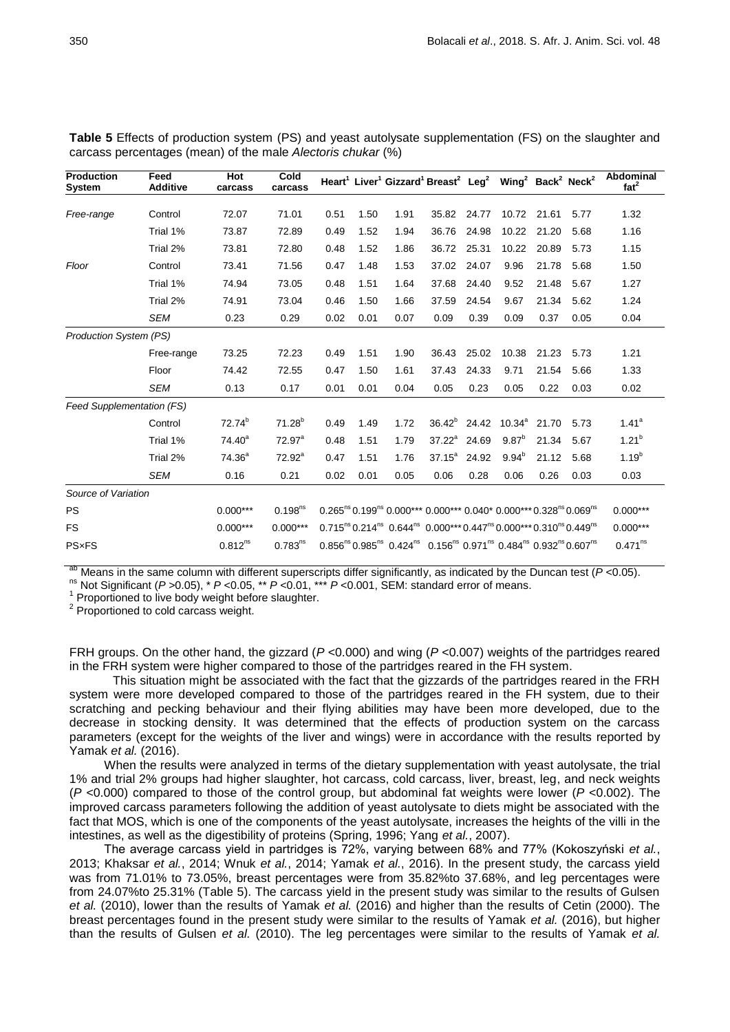| <b>Production</b><br>System      | Feed<br><b>Additive</b> | Hot<br>carcass     | Cold<br>carcass     |      |      | Heart <sup>1</sup> Liver <sup>1</sup> Gizzard <sup>1</sup> Breast <sup>2</sup> Leg <sup>2</sup>                                       |             |       |             |       | Wing <sup>2</sup> Back <sup>2</sup> Neck <sup>2</sup> | Abdominal<br>fat <sup>2</sup> |
|----------------------------------|-------------------------|--------------------|---------------------|------|------|---------------------------------------------------------------------------------------------------------------------------------------|-------------|-------|-------------|-------|-------------------------------------------------------|-------------------------------|
|                                  |                         |                    |                     |      |      |                                                                                                                                       |             |       |             |       |                                                       |                               |
| Free-range                       | Control                 | 72.07              | 71.01               | 0.51 | 1.50 | 1.91                                                                                                                                  | 35.82       | 24.77 | 10.72       | 21.61 | 5.77                                                  | 1.32                          |
|                                  | Trial 1%                | 73.87              | 72.89               | 0.49 | 1.52 | 1.94                                                                                                                                  | 36.76       | 24.98 | 10.22       | 21.20 | 5.68                                                  | 1.16                          |
|                                  | Trial 2%                | 73.81              | 72.80               | 0.48 | 1.52 | 1.86                                                                                                                                  | 36.72       | 25.31 | 10.22       | 20.89 | 5.73                                                  | 1.15                          |
| Floor                            | Control                 | 73.41              | 71.56               | 0.47 | 1.48 | 1.53                                                                                                                                  | 37.02       | 24.07 | 9.96        | 21.78 | 5.68                                                  | 1.50                          |
|                                  | Trial 1%                | 74.94              | 73.05               | 0.48 | 1.51 | 1.64                                                                                                                                  | 37.68       | 24.40 | 9.52        | 21.48 | 5.67                                                  | 1.27                          |
|                                  | Trial 2%                | 74.91              | 73.04               | 0.46 | 1.50 | 1.66                                                                                                                                  | 37.59       | 24.54 | 9.67        | 21.34 | 5.62                                                  | 1.24                          |
|                                  | <b>SEM</b>              | 0.23               | 0.29                | 0.02 | 0.01 | 0.07                                                                                                                                  | 0.09        | 0.39  | 0.09        | 0.37  | 0.05                                                  | 0.04                          |
| Production System (PS)           |                         |                    |                     |      |      |                                                                                                                                       |             |       |             |       |                                                       |                               |
|                                  | Free-range              | 73.25              | 72.23               | 0.49 | 1.51 | 1.90                                                                                                                                  | 36.43       | 25.02 | 10.38       | 21.23 | 5.73                                                  | 1.21                          |
|                                  | Floor                   | 74.42              | 72.55               | 0.47 | 1.50 | 1.61                                                                                                                                  | 37.43       | 24.33 | 9.71        | 21.54 | 5.66                                                  | 1.33                          |
|                                  | <b>SEM</b>              | 0.13               | 0.17                | 0.01 | 0.01 | 0.04                                                                                                                                  | 0.05        | 0.23  | 0.05        | 0.22  | 0.03                                                  | 0.02                          |
| <b>Feed Supplementation (FS)</b> |                         |                    |                     |      |      |                                                                                                                                       |             |       |             |       |                                                       |                               |
|                                  | Control                 | 72.74 <sup>b</sup> | $71.28^{b}$         | 0.49 | 1.49 | 1.72                                                                                                                                  | $36.42^{b}$ | 24.42 | $10.34^{a}$ | 21.70 | 5.73                                                  | 1.41 <sup>a</sup>             |
|                                  | Trial 1%                | 74.40 <sup>a</sup> | $72.97^a$           | 0.48 | 1.51 | 1.79                                                                                                                                  | $37.22^a$   | 24.69 | $9.87^{b}$  | 21.34 | 5.67                                                  | $1.21^{b}$                    |
|                                  | Trial 2%                | $74.36^a$          | $72.92^a$           | 0.47 | 1.51 | 1.76                                                                                                                                  | $37.15^a$   | 24.92 | $9.94^{b}$  | 21.12 | 5.68                                                  | $1.19^{b}$                    |
|                                  | <b>SEM</b>              | 0.16               | 0.21                | 0.02 | 0.01 | 0.05                                                                                                                                  | 0.06        | 0.28  | 0.06        | 0.26  | 0.03                                                  | 0.03                          |
| Source of Variation              |                         |                    |                     |      |      |                                                                                                                                       |             |       |             |       |                                                       |                               |
| <b>PS</b>                        |                         | $0.000***$         | 0.198 <sup>ns</sup> |      |      | $0.265^{ns}$ 0.199 <sup>ns</sup> 0.000*** 0.000*** 0.040* 0.000*** 0.328 <sup>ns</sup> 0.069 <sup>ns</sup>                            |             |       |             |       |                                                       | $0.000***$                    |
| <b>FS</b>                        |                         | $0.000***$         | $0.000***$          |      |      | $0.715^{\text{ns}} 0.214^{\text{ns}} 0.644^{\text{ns}} 0.000^{***} 0.447^{\text{ns}} 0.000^{***} 0.310^{\text{ns}} 0.449^{\text{ns}}$ |             |       |             |       |                                                       | $0.000***$                    |
| <b>PSxFS</b>                     |                         | $0.812^{ns}$       | $0.783^{ns}$        |      |      | $0.856^{ns}$ $0.985^{ns}$ $0.424^{ns}$ $0.156^{ns}$ $0.971^{ns}$ $0.484^{ns}$ $0.932^{ns}$ $0.607^{ns}$                               |             |       |             |       |                                                       | $0.471^{ns}$                  |

**Table 5** Effects of production system (PS) and yeast autolysate supplementation (FS) on the slaughter and carcass percentages (mean) of the male *Alectoris chukar* (%)

ab Means in the same column with different superscripts differ significantly, as indicated by the Duncan test (*P* <0.05).

<sup>ns</sup> Not Significant  $(P > 0.05)$ ,  $* P < 0.05$ ,  $** P < 0.01$ ,  $** P < 0.001$ , SEM: standard error of means.

Proportioned to live body weight before slaughter.

<sup>2</sup> Proportioned to cold carcass weight.

FRH groups. On the other hand, the gizzard (*P* <0.000) and wing (*P* <0.007) weights of the partridges reared in the FRH system were higher compared to those of the partridges reared in the FH system.

This situation might be associated with the fact that the gizzards of the partridges reared in the FRH system were more developed compared to those of the partridges reared in the FH system, due to their scratching and pecking behaviour and their flying abilities may have been more developed, due to the decrease in stocking density. It was determined that the effects of production system on the carcass parameters (except for the weights of the liver and wings) were in accordance with the results reported by Yamak *et al.* (2016).

When the results were analyzed in terms of the dietary supplementation with yeast autolysate, the trial 1% and trial 2% groups had higher slaughter, hot carcass, cold carcass, liver, breast, leg, and neck weights (*P* <0.000) compared to those of the control group, but abdominal fat weights were lower (*P* <0.002). The improved carcass parameters following the addition of yeast autolysate to diets might be associated with the fact that MOS, which is one of the components of the yeast autolysate, increases the heights of the villi in the intestines, as well as the digestibility of proteins (Spring, 1996; Yang *et al.*, 2007).

The average carcass yield in partridges is 72%, varying between 68% and 77% (Kokoszyński *et al.*, 2013; Khaksar *et al.*, 2014; Wnuk *et al.*, 2014; Yamak *et al.*, 2016). In the present study, the carcass yield was from 71.01% to 73.05%, breast percentages were from 35.82%to 37.68%, and leg percentages were from 24.07%to 25.31% (Table 5). The carcass yield in the present study was similar to the results of Gulsen *et al.* (2010), lower than the results of Yamak *et al.* (2016) and higher than the results of Cetin (2000). The breast percentages found in the present study were similar to the results of Yamak *et al.* (2016), but higher than the results of Gulsen *et al.* (2010). The leg percentages were similar to the results of Yamak *et al.*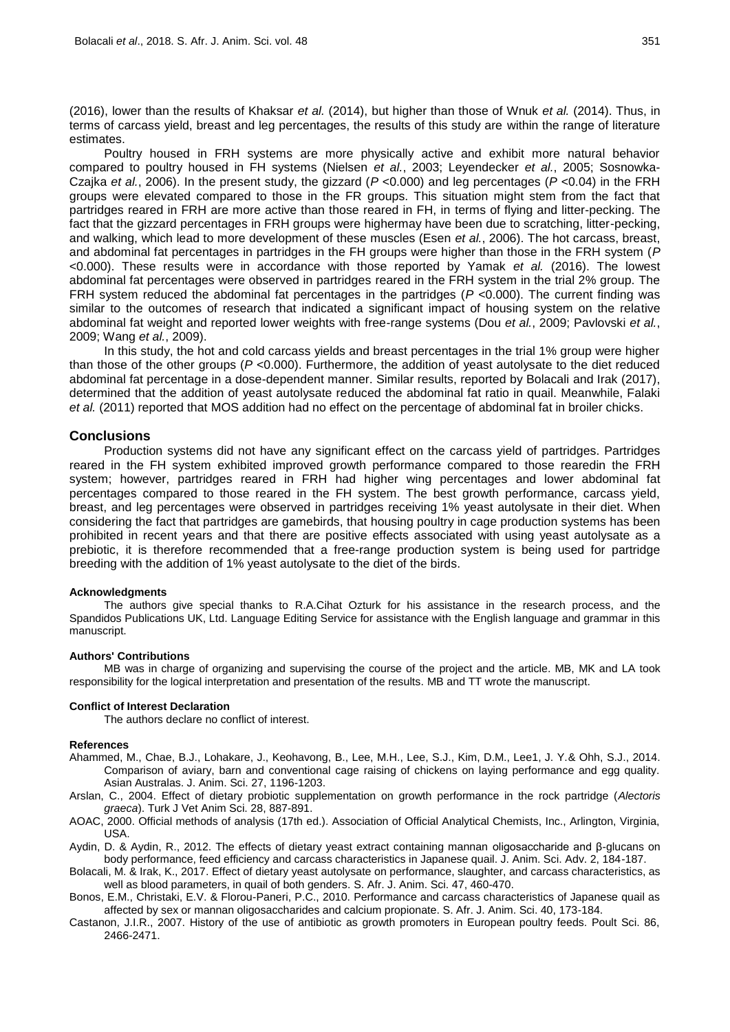(2016), lower than the results of Khaksar *et al.* (2014), but higher than those of Wnuk *et al.* (2014). Thus, in terms of carcass yield, breast and leg percentages, the results of this study are within the range of literature estimates.

Poultry housed in FRH systems are more physically active and exhibit more natural behavior compared to poultry housed in FH systems (Nielsen *et al.*, 2003; Leyendecker *et al.*, 2005; Sosnowka-Czajka *et al.*, 2006). In the present study, the gizzard (*P* <0.000) and leg percentages (*P* <0.04) in the FRH groups were elevated compared to those in the FR groups. This situation might stem from the fact that partridges reared in FRH are more active than those reared in FH, in terms of flying and litter-pecking. The fact that the gizzard percentages in FRH groups were highermay have been due to scratching, litter-pecking, and walking, which lead to more development of these muscles (Esen *et al.*, 2006). The hot carcass, breast, and abdominal fat percentages in partridges in the FH groups were higher than those in the FRH system (*P* <0.000). These results were in accordance with those reported by Yamak *et al.* (2016). The lowest abdominal fat percentages were observed in partridges reared in the FRH system in the trial 2% group. The FRH system reduced the abdominal fat percentages in the partridges (*P* <0.000). The current finding was similar to the outcomes of research that indicated a significant impact of housing system on the relative abdominal fat weight and reported lower weights with free-range systems (Dou *et al.*, 2009; Pavlovski *et al.*, 2009; Wang *et al.*, 2009).

In this study, the hot and cold carcass yields and breast percentages in the trial 1% group were higher than those of the other groups (*P* <0.000). Furthermore, the addition of yeast autolysate to the diet reduced abdominal fat percentage in a dose-dependent manner. Similar results, reported by Bolacali and Irak (2017), determined that the addition of yeast autolysate reduced the abdominal fat ratio in quail. Meanwhile, Falaki *et al.* (2011) reported that MOS addition had no effect on the percentage of abdominal fat in broiler chicks.

## **Conclusions**

Production systems did not have any significant effect on the carcass yield of partridges. Partridges reared in the FH system exhibited improved growth performance compared to those rearedin the FRH system; however, partridges reared in FRH had higher wing percentages and lower abdominal fat percentages compared to those reared in the FH system. The best growth performance, carcass yield, breast, and leg percentages were observed in partridges receiving 1% yeast autolysate in their diet. When considering the fact that partridges are gamebirds, that housing poultry in cage production systems has been prohibited in recent years and that there are positive effects associated with using yeast autolysate as a prebiotic, it is therefore recommended that a free-range production system is being used for partridge breeding with the addition of 1% yeast autolysate to the diet of the birds.

#### **Acknowledgments**

The authors give special thanks to R.A.Cihat Ozturk for his assistance in the research process, and the Spandidos Publications UK, Ltd. Language Editing Service for assistance with the English language and grammar in this manuscript.

#### **Authors' Contributions**

MB was in charge of organizing and supervising the course of the project and the article. MB, MK and LA took responsibility for the logical interpretation and presentation of the results. MB and TT wrote the manuscript.

### **Conflict of Interest Declaration**

The authors declare no conflict of interest.

#### **References**

- Ahammed, M., Chae, B.J., Lohakare, J., Keohavong, B., Lee, M.H., Lee, S.J., Kim, D.M., Lee1, J. Y.& Ohh, S.J., 2014. Comparison of aviary, barn and conventional cage raising of chickens on laying performance and egg quality. Asian Australas. J. Anim. Sci. 27, 1196-1203.
- Arslan, C., 2004. Effect of dietary probiotic supplementation on growth performance in the rock partridge (*Alectoris graeca*). Turk J Vet Anim Sci. 28, 887-891.
- AOAC, 2000. Official methods of analysis (17th ed.). Association of Official Analytical Chemists, Inc., Arlington, Virginia, USA.
- Aydin, D. & Aydin, R., 2012. The effects of dietary yeast extract containing mannan oligosaccharide and β-glucans on body performance, feed efficiency and carcass characteristics in Japanese quail. J. Anim. Sci. Adv. 2, 184-187.
- Bolacali, M. & Irak, K., 2017. Effect of dietary yeast autolysate on performance, slaughter, and carcass characteristics, as well as blood parameters, in quail of both genders. S. Afr. J. Anim. Sci. 47, 460-470.
- Bonos, E.M., Christaki, E.V. & Florou-Paneri, P.C., 2010. Performance and carcass characteristics of Japanese quail as affected by sex or mannan oligosaccharides and calcium propionate. S. Afr. J. Anim. Sci. 40, 173-184.
- Castanon, J.I.R., 2007. History of the use of antibiotic as growth promoters in European poultry feeds. Poult Sci. 86, 2466-2471.